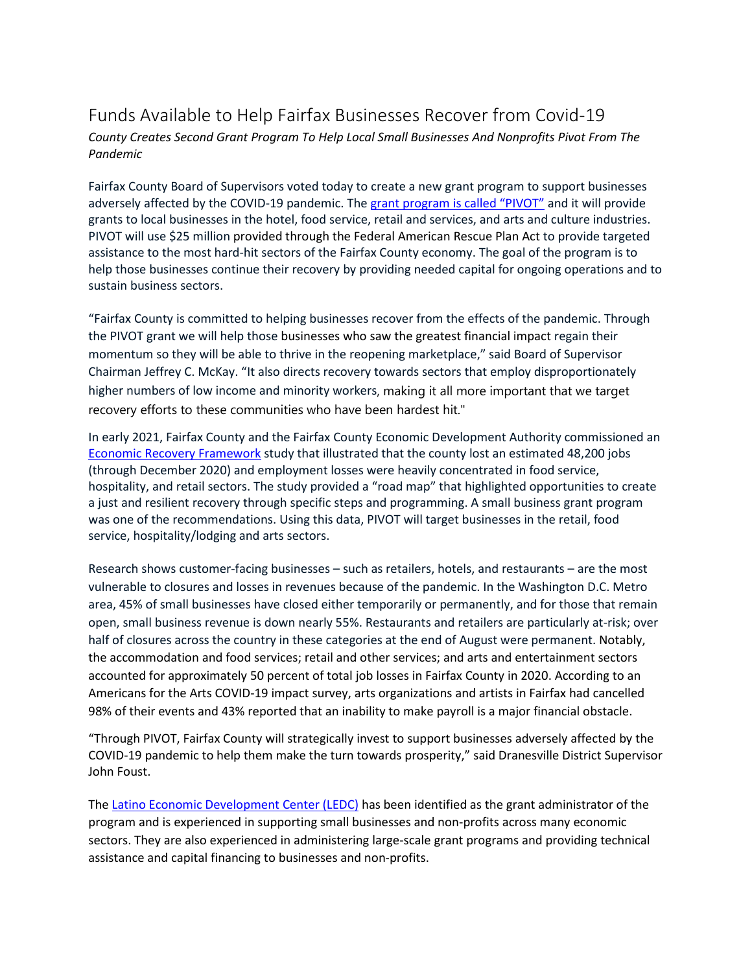## Funds Available to Help Fairfax Businesses Recover from Covid-19

*County Creates Second Grant Program To Help Local Small Businesses And Nonprofits Pivot From The Pandemic*

Fairfax County Board of Supervisors voted today to create a new grant program to support businesses adversely affected by the COVID-19 pandemic. Th[e grant program is called "PIVOT"](https://www.fairfaxcounty.gov/economic-initiatives/pivot) and it will provide grants to local businesses in the hotel, food service, retail and services, and arts and culture industries. PIVOT will use \$25 million provided through the Federal American Rescue Plan Act to provide targeted assistance to the most hard-hit sectors of the Fairfax County economy. The goal of the program is to help those businesses continue their recovery by providing needed capital for ongoing operations and to sustain business sectors.

"Fairfax County is committed to helping businesses recover from the effects of the pandemic. Through the PIVOT grant we will help those businesses who saw the greatest financial impact regain their momentum so they will be able to thrive in the reopening marketplace," said Board of Supervisor Chairman Jeffrey C. McKay. "It also directs recovery towards sectors that employ disproportionately higher numbers of low income and minority workers, making it all more important that we target recovery efforts to these communities who have been hardest hit."

In early 2021, Fairfax County and the Fairfax County Economic Development Authority commissioned an Economic Recovery [Framework](https://www.fairfaxcounty.gov/economic-initiatives/economic-framework-sets-roadmap-fairfax-county-recovery) study that illustrated that the county lost an estimated 48,200 jobs (through December 2020) and employment losses were heavily concentrated in food service, hospitality, and retail sectors. The study provided a "road map" that highlighted opportunities to create a just and resilient recovery through specific steps and programming. A small business grant program was one of the recommendations. Using this data, PIVOT will target businesses in the retail, food service, hospitality/lodging and arts sectors.

Research shows customer-facing businesses – such as retailers, hotels, and restaurants – are the most vulnerable to closures and losses in revenues because of the pandemic. In the Washington D.C. Metro area, 45% of small businesses have closed either temporarily or permanently, and for those that remain open, small business revenue is down nearly 55%. Restaurants and retailers are particularly at-risk; over half of closures across the country in these categories at the end of August were permanent. Notably, the accommodation and food services; retail and other services; and arts and entertainment sectors accounted for approximately 50 percent of total job losses in Fairfax County in 2020. According to an Americans for the Arts COVID-19 impact survey, arts organizations and artists in Fairfax had cancelled 98% of their events and 43% reported that an inability to make payroll is a major financial obstacle.

"Through PIVOT, Fairfax County will strategically invest to support businesses adversely affected by the COVID-19 pandemic to help them make the turn towards prosperity," said Dranesville District Supervisor John Foust.

The [Latino Economic Development Center \(LEDC\)](https://www.ledcmetro.org/) has been identified as the grant administrator of the program and is experienced in supporting small businesses and non-profits across many economic sectors. They are also experienced in administering large-scale grant programs and providing technical assistance and capital financing to businesses and non-profits.